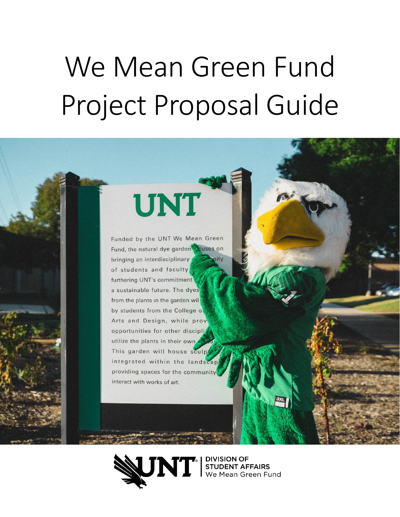# We Mean Green Fund Project Proposal Guide

# **UNT**

Funded by the UNT We Mean Green Fund, the natural dye garden puses on bringing an interdisciplinary nity of students and faculty furthering UNT's commitment a sustainable future. The dyes from the plants in the garden wil by students from the College of Arts and Design, while prove opportunities for other discipli utilize the plants in their own. This garden will house sculp integrated within the landscap providing spaces for the community interact with works of art.



**MT** STUDENT AFFAIRS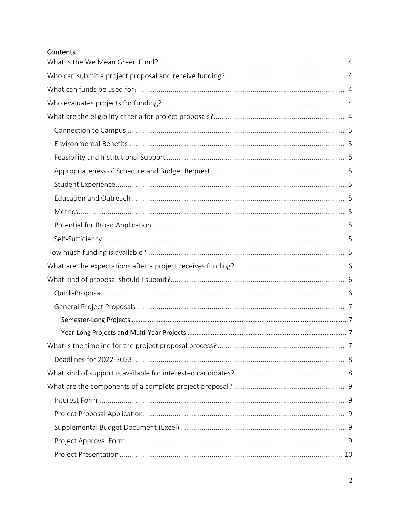# Contents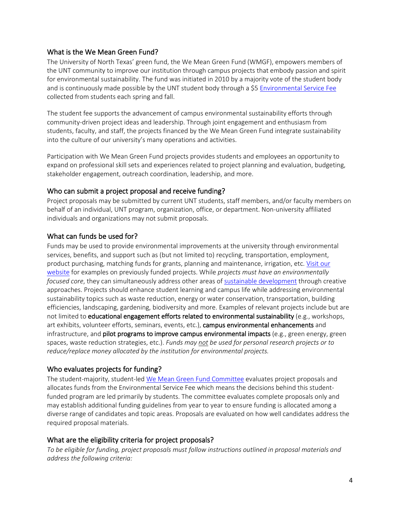# <span id="page-3-0"></span>What is the We Mean Green Fund?

The University of North Texas' green fund, the We Mean Green Fund (WMGF), empowers members of the UNT community to improve our institution through campus projects that embody passion and spirit for environmental sustainability. The fund was initiated in 2010 by a majority vote of the student body and is continuously made possible by the UNT student body through a \$[5 Environmental Service Fee](https://sfs.unt.edu/explanation-fees) collected from students each spring and fall.

The student fee supports the advancement of campus environmental sustainability efforts through community-driven project ideas and leadership. Through joint engagement and enthusiasm from students, faculty, and staff, the projects financed by the We Mean Green Fund integrate sustainability into the culture of our university's many operations and activities.

Participation with We Mean Green Fund projects provides students and employees an opportunity to expand on professional skill sets and experiences related to project planning and evaluation, budgeting, stakeholder engagement, outreach coordination, leadership, and more.

# <span id="page-3-1"></span>Who can submit a project proposal and receive funding?

Project proposals may be submitted by current UNT students, staff members, and/or faculty members on behalf of an individual, UNT program, organization, office, or department. Non-university affiliated individuals and organizations may not submit proposals.

# <span id="page-3-2"></span>What can funds be used for?

Funds may be used to provide environmental improvements at the university through environmental services, benefits, and support such as (but not limited to) recycling, transportation, employment, product purchasing, matching funds for grants, planning and maintenance, irrigation, etc. Visit our website for examples on previously funded projects. While *projects must have an environmentally focused core*, they can simultaneously address other areas of [sustainable development](https://www.undp.org/content/undp/en/home/sustainable-development-goals.html) through creative approaches. Projects should enhance student learning and campus life while addressing environmental sustainability topics such as waste reduction, energy or water conservation, transportation, building efficiencies, landscaping, gardening, biodiversity and more. Examples of relevant projects include but are not limited to **educational engagement efforts related to environmental sustainability** (e.g., workshops, art exhibits, volunteer efforts, seminars, events, etc.), campus environmental enhancements and infrastructure, and **pilot programs to improve campus environmental impacts** (e.g., green energy, green spaces, waste reduction strategies, etc.). *Funds may not be used for personal research projects or to reduce/replace money allocated by the institution for environmental projects.*

# <span id="page-3-3"></span>Who evaluates projects for funding?

The student-majority, student-led [We Mean Green Fund Committee](https://studentaffairs.unt.edu/we-mean-green-fund/programs/we-mean-green-fund-committee) evaluates project proposals and allocates funds from the Environmental Service Fee which means the decisions behind this studentfunded program are led primarily by students. The committee evaluates complete proposals only and may establish additional funding guidelines from year to year to ensure funding is allocated among a diverse range of candidates and topic areas. Proposals are evaluated on how well candidates address the required proposal materials.

#### <span id="page-3-4"></span>What are the eligibility criteria for project proposals?

*To be eligible for funding, project proposals must follow instructions outlined in proposal materials and address the following criteria:*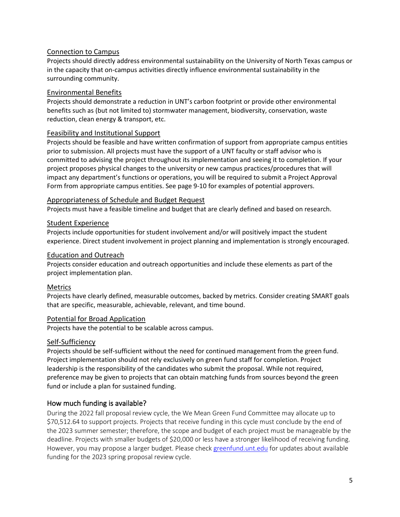### <span id="page-4-0"></span>Connection to Campus

Projects should directly address environmental sustainability on the University of North Texas campus or in the capacity that on-campus activities directly influence environmental sustainability in the surrounding community.

#### <span id="page-4-1"></span>Environmental Benefits

Projects should demonstrate a reduction in UNT's carbon footprint or provide other environmental benefits such as (but not limited to) stormwater management, biodiversity, conservation, waste reduction, clean energy & transport, etc.

#### <span id="page-4-2"></span>Feasibility and Institutional Support

Projects should be feasible and have written confirmation of support from appropriate campus entities prior to submission. All projects must have the support of a UNT faculty or staff advisor who is committed to advising the project throughout its implementation and seeing it to completion. If your project proposes physical changes to the university or new campus practices/procedures that will impact any department's functions or operations, you will be required to submit a Project Approval Form from appropriate campus entities. See page 9-10 for examples of potential approvers.

#### <span id="page-4-3"></span>Appropriateness of Schedule and Budget Request

Projects must have a feasible timeline and budget that are clearly defined and based on research.

#### <span id="page-4-4"></span>Student Experience

Projects include opportunities for student involvement and/or will positively impact the student experience. Direct student involvement in project planning and implementation is strongly encouraged.

#### <span id="page-4-5"></span>Education and Outreach

Projects consider education and outreach opportunities and include these elements as part of the project implementation plan.

#### <span id="page-4-6"></span>Metrics

Projects have clearly defined, measurable outcomes, backed by metrics. Consider creating SMART goals that are specific, measurable, achievable, relevant, and time bound.

#### <span id="page-4-7"></span>Potential for Broad Application

Projects have the potential to be scalable across campus.

#### <span id="page-4-8"></span>Self-Sufficiency

Projects should be self-sufficient without the need for continued management from the green fund. Project implementation should not rely exclusively on green fund staff for completion. Project leadership is the responsibility of the candidates who submit the proposal. While not required, preference may be given to projects that can obtain matching funds from sources beyond the green fund or include a plan for sustained funding.

# <span id="page-4-9"></span>How much funding is available?

During the 2022 fall proposal review cycle, the We Mean Green Fund Committee may allocate up to \$70,512.64 to support projects. Projects that receive funding in this cycle must conclude by the end of the 2023 summer semester; therefore, the scope and budget of each project must be manageable by the deadline. Projects with smaller budgets of \$20,000 or less have a stronger likelihood of receiving funding. However, you may propose a larger budget. Please check [greenfund.unt.edu](https://studentaffairs.unt.edu/we-mean-green-fund) for updates about available funding for the 2023 spring proposal review cycle.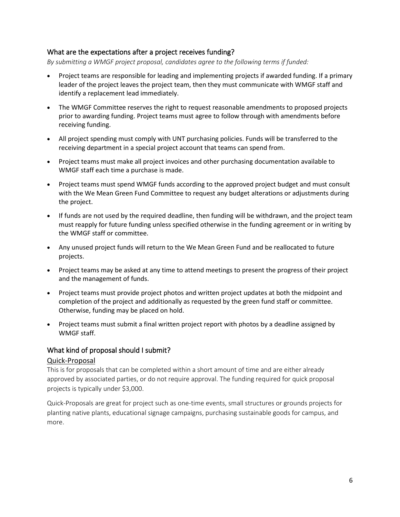#### <span id="page-5-0"></span>What are the expectations after a project receives funding?

*By submitting a WMGF project proposal, candidates agree to the following terms if funded:*

- Project teams are responsible for leading and implementing projects if awarded funding. If a primary leader of the project leaves the project team, then they must communicate with WMGF staff and identify a replacement lead immediately.
- The WMGF Committee reserves the right to request reasonable amendments to proposed projects prior to awarding funding. Project teams must agree to follow through with amendments before receiving funding.
- All project spending must comply with UNT purchasing policies. Funds will be transferred to the receiving department in a special project account that teams can spend from.
- Project teams must make all project invoices and other purchasing documentation available to WMGF staff each time a purchase is made.
- Project teams must spend WMGF funds according to the approved project budget and must consult with the We Mean Green Fund Committee to request any budget alterations or adjustments during the project.
- If funds are not used by the required deadline, then funding will be withdrawn, and the project team must reapply for future funding unless specified otherwise in the funding agreement or in writing by the WMGF staff or committee.
- Any unused project funds will return to the We Mean Green Fund and be reallocated to future projects.
- Project teams may be asked at any time to attend meetings to present the progress of their project and the management of funds.
- Project teams must provide project photos and written project updates at both the midpoint and completion of the project and additionally as requested by the green fund staff or committee. Otherwise, funding may be placed on hold.
- Project teams must submit a final written project report with photos by a deadline assigned by WMGF staff.

#### <span id="page-5-1"></span>What kind of proposal should I submit?

#### <span id="page-5-2"></span>Quick-Proposal

This is for proposals that can be completed within a short amount of time and are either already approved by associated parties, or do not require approval. The funding required for quick proposal projects is typically under \$3,000.

Quick-Proposals are great for project such as one-time events, small structures or grounds projects for planting native plants, educational signage campaigns, purchasing sustainable goods for campus, and more.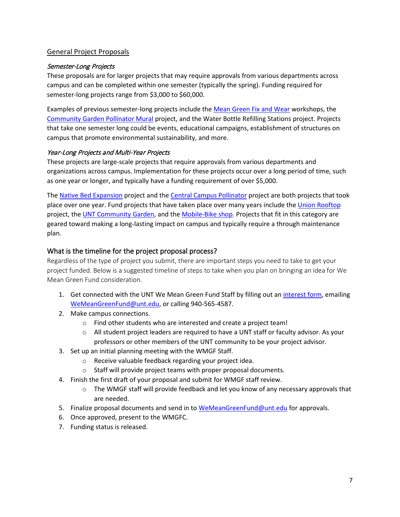# <span id="page-6-0"></span>General Project Proposals

### <span id="page-6-1"></span>Semester-Long Projects

These proposals are for larger projects that may require approvals from various departments across campus and can be completed within one semester (typically the spring). Funding required for semester-long projects range from \$3,000 to \$60,000.

Examples of previous semester-long projects include the [Mean Green Fix and Wear](https://studentaffairs.unt.edu/we-mean-green-fund/projects/mean-green-fix-and-wear) workshops, the [Community Garden Pollinator Mural](https://studentaffairs.unt.edu/we-mean-green-fund/projects/community-garden-pollinator-mural) project, and the Water Bottle Refilling Stations project. Projects that take one semester long could be events, educational campaigns, establishment of structures on campus that promote environmental sustainability, and more.

#### <span id="page-6-2"></span>Year-Long Projects and Multi-Year Projects

These projects are large-scale projects that require approvals from various departments and organizations across campus. Implementation for these projects occur over a long period of time, such as one year or longer, and typically have a funding requirement of over \$5,000.

The [Native Bed Expansion](https://studentaffairs.unt.edu/we-mean-green-fund/projects/community-garden-pollinator-protection) project and the [Central Campus Pollinator](https://studentaffairs.unt.edu/we-mean-green-fund/projects/central-campus-pollinator) project are both projects that took place over one year. Fund projects that have taken place over many years include the [Union Rooftop](https://studentaffairs.unt.edu/we-mean-green-fund/projects/native-plants-union-roof) project, the UNT Community Garden, and the [Mobile-Bike shop.](https://studentaffairs.unt.edu/we-mean-green-fund/projects/mobile-bike-shop) Projects that fit in this category are geared toward making a long-lasting impact on campus and typically require a through maintenance plan.

# <span id="page-6-3"></span>What is the timeline for the project proposal process?

Regardless of the type of project you submit, there are important steps you need to take to get your project funded. Below is a suggested timeline of steps to take when you plan on bringing an idea for We Mean Green Fund consideration.

- 1. Get connected with the UNT We Mean Green Fund Staff by filling out a[n interest form,](https://unt.az1.qualtrics.com/jfe/form/SV_erIjm3xMXXWsOCa) emailing [WeMeanGreenFund@unt.edu,](mailto:WeMeanGreenFund@unt.edu) or calling 940-565-4587.
- 2. Make campus connections.
	- o Find other students who are interested and create a project team!
	- o All student project leaders are required to have a UNT staff or faculty advisor. As your professors or other members of the UNT community to be your project advisor.
- 3. Set up an initial planning meeting with the WMGF Staff.
	- o Receive valuable feedback regarding your project idea.
	- o Staff will provide project teams with proper proposal documents.
- 4. Finish the first draft of your proposal and submit for WMGF staff review.
	- $\circ$  The WMGF staff will provide feedback and let you know of any necessary approvals that are needed.
- 5. Finalize proposal documents and send in to [WeMeanGreenFund@unt.edu](mailto:WeMeanGreenFund@unt.edu) for approvals.
- 6. Once approved, present to the WMGFC.
- 7. Funding status is released.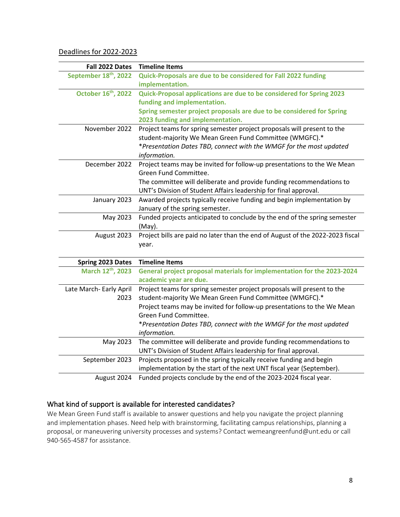<span id="page-7-0"></span>Deadlines for 2022-2023

| Fall 2022 Dates                   | <b>Timeline Items</b>                                                          |
|-----------------------------------|--------------------------------------------------------------------------------|
| September 18 <sup>th</sup> , 2022 | Quick-Proposals are due to be considered for Fall 2022 funding                 |
|                                   | implementation.                                                                |
| October 16 <sup>th</sup> , 2022   | Quick-Proposal applications are due to be considered for Spring 2023           |
|                                   | funding and implementation.                                                    |
|                                   | Spring semester project proposals are due to be considered for Spring          |
|                                   | 2023 funding and implementation.                                               |
| November 2022                     | Project teams for spring semester project proposals will present to the        |
|                                   | student-majority We Mean Green Fund Committee (WMGFC).*                        |
|                                   | *Presentation Dates TBD, connect with the WMGF for the most updated            |
|                                   | information.                                                                   |
| December 2022                     | Project teams may be invited for follow-up presentations to the We Mean        |
|                                   | Green Fund Committee.                                                          |
|                                   | The committee will deliberate and provide funding recommendations to           |
|                                   | UNT's Division of Student Affairs leadership for final approval.               |
| January 2023                      | Awarded projects typically receive funding and begin implementation by         |
|                                   | January of the spring semester.                                                |
| May 2023                          | Funded projects anticipated to conclude by the end of the spring semester      |
|                                   | $(May)$ .                                                                      |
| August 2023                       | Project bills are paid no later than the end of August of the 2022-2023 fiscal |
|                                   | year.                                                                          |
|                                   |                                                                                |
| <b>Spring 2023 Dates</b>          | <b>Timeline Items</b>                                                          |
| March 12th, 2023                  | General project proposal materials for implementation for the 2023-2024        |
|                                   | academic year are due.                                                         |
| Late March- Early April           | Project teams for spring semester project proposals will present to the        |
| 2023                              | student-majority We Mean Green Fund Committee (WMGFC).*                        |
|                                   | Project teams may be invited for follow-up presentations to the We Mean        |
|                                   | Green Fund Committee.                                                          |
|                                   | *Presentation Dates TBD, connect with the WMGF for the most updated            |
|                                   | information.                                                                   |
| May 2023                          | The committee will deliberate and provide funding recommendations to           |
|                                   | UNT's Division of Student Affairs leadership for final approval.               |
| September 2023                    | Projects proposed in the spring typically receive funding and begin            |
|                                   | implementation by the start of the next UNT fiscal year (September).           |
| August 2024                       | Funded projects conclude by the end of the 2023-2024 fiscal year.              |

# <span id="page-7-1"></span>What kind of support is available for interested candidates?

We Mean Green Fund staff is available to answer questions and help you navigate the project planning and implementation phases. Need help with brainstorming, facilitating campus relationships, planning a proposal, or maneuvering university processes and systems? Contact wemeangreenfund@unt.edu or call 940-565-4587 for assistance.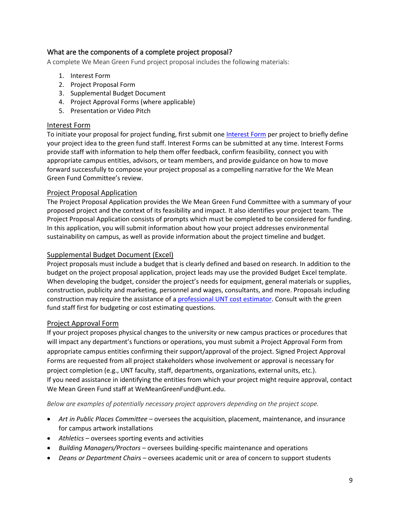# <span id="page-8-0"></span>What are the components of a complete project proposal?

A complete We Mean Green Fund project proposal includes the following materials:

- 1. Interest Form
- 2. Project Proposal Form
- 3. Supplemental Budget Document
- 4. Project Approval Forms (where applicable)
- 5. Presentation or Video Pitch

#### <span id="page-8-1"></span>Interest Form

To initiate your proposal for project funding, first submit one [Interest Form](https://unt.az1.qualtrics.com/jfe/form/SV_erIjm3xMXXWsOCa) per project to briefly define your project idea to the green fund staff. Interest Forms can be submitted at any time. Interest Forms provide staff with information to help them offer feedback, confirm feasibility, connect you with appropriate campus entities, advisors, or team members, and provide guidance on how to move forward successfully to compose your project proposal as a compelling narrative for the We Mean Green Fund Committee's review.

#### <span id="page-8-2"></span>Project Proposal Application

The Project Proposal Application provides the We Mean Green Fund Committee with a summary of your proposed project and the context of its feasibility and impact. It also identifies your project team. The Project Proposal Application consists of prompts which must be completed to be considered for funding. In this application, you will submit information about how your project addresses environmental sustainability on campus, as well as provide information about the project timeline and budget.

#### <span id="page-8-3"></span>Supplemental Budget Document (Excel)

Project proposals must include a budget that is clearly defined and based on research. In addition to the budget on the project proposal application, project leads may use the provided Budget Excel template. When developing the budget, consider the project's needs for equipment, general materials or supplies, construction, publicity and marketing, personnel and wages, consultants, and more. Proposals including construction may require the assistance of a [professional UNT cost estimator.](https://facilities.unt.edu/services/estimating) Consult with the green fund staff first for budgeting or cost estimating questions.

#### <span id="page-8-4"></span>Project Approval Form

If your project proposes physical changes to the university or new campus practices or procedures that will impact any department's functions or operations, you must submit a Project Approval Form from appropriate campus entities confirming their support/approval of the project. Signed Project Approval Forms are requested from all project stakeholders whose involvement or approval is necessary for project completion (e.g., UNT faculty, staff, departments, organizations, external units, etc.). If you need assistance in identifying the entities from which your project might require approval, contact We Mean Green Fund staff at WeMeanGreenFund@unt.edu.

*Below are examples of potentially necessary project approvers depending on the project scope.*

- *Art in Public Places Committee* oversees the acquisition, placement, maintenance, and insurance for campus artwork installations
- *Athletics* oversees sporting events and activities
- *Building Managers/Proctors* oversees building-specific maintenance and operations
- *Deans or Department Chairs* oversees academic unit or area of concern to support students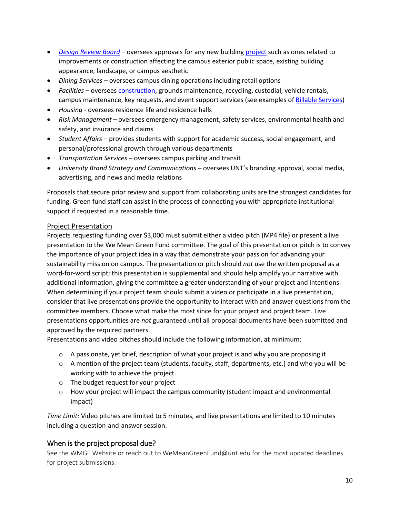- *[Design Review Board](https://facilities.unt.edu/sites/default/files/docs/facilities_project_procedures_manual_edition_03_2019-04-16.pdf)* oversees approvals for any new building [project](https://facilities.unt.edu/services/Projects) such as ones related to improvements or construction affecting the campus exterior public space, existing building appearance, landscape, or campus aesthetic
- *Dining Services* oversees campus dining operations including retail options
- *Facilities*  oversees [construction,](https://policy.unt.edu/policy/11-009) grounds maintenance, recycling, custodial, vehicle rentals, campus maintenance, key requests, and event support services (see examples of [Billable Services\)](https://facilities.unt.edu/services/maintenance)
- *Housing* oversees residence life and residence halls
- *Risk Management –* oversees emergency management, safety services, environmental health and safety, and insurance and claims
- *Student Affairs* provides students with support for academic success, social engagement, and personal/professional growth through various departments
- *Transportation Services* oversees campus parking and transit
- *University Brand Strategy and Communications*  oversees UNT's branding approval, social media, advertising, and news and media relations

Proposals that secure prior review and support from collaborating units are the strongest candidates for funding. Green fund staff can assist in the process of connecting you with appropriate institutional support if requested in a reasonable time.

#### <span id="page-9-0"></span>Project Presentation

Projects requesting funding over \$3,000 must submit either a video pitch (MP4 file) or present a live presentation to the We Mean Green Fund committee. The goal of this presentation or pitch is to convey the importance of your project idea in a way that demonstrate your passion for advancing your sustainability mission on campus. The presentation or pitch should *not* use the written proposal as a word-for-word script; this presentation is supplemental and should help amplify your narrative with additional information, giving the committee a greater understanding of your project and intentions. When determining if your project team should submit a video or participate in a live presentation, consider that live presentations provide the opportunity to interact with and answer questions from the committee members. Choose what make the most since for your project and project team. Live presentations opportunities are *not* guaranteed until all proposal documents have been submitted and approved by the required partners.

Presentations and video pitches should include the following information, at minimum:

- $\circ$  A passionate, yet brief, description of what your project is and why you are proposing it
- $\circ$  A mention of the project team (students, faculty, staff, departments, etc.) and who you will be working with to achieve the project.
- o The budget request for your project
- $\circ$  How your project will impact the campus community (student impact and environmental impact)

*Time Limit:* Video pitches are limited to 5 minutes, and live presentations are limited to 10 minutes including a question-and-answer session.

#### <span id="page-9-1"></span>When is the project proposal due?

See the WMGF Website or reach out to WeMeanGreenFund@unt.edu for the most updated deadlines for project submissions.